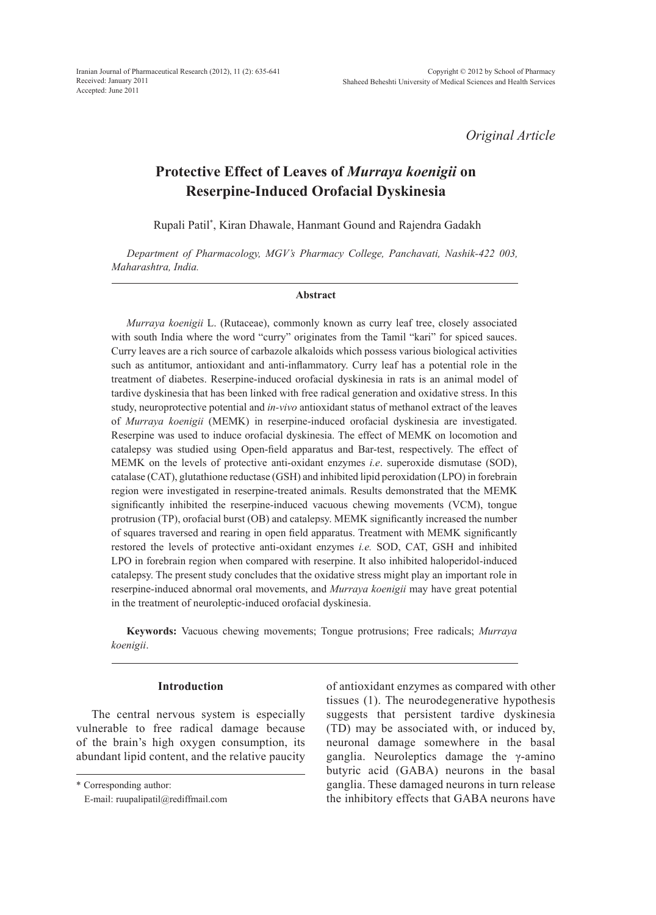Iranian Journal of Pharmaceutical Research (2012), 11 (2): 635-641 Received: January 2011 Accepted: June 2011

*Original Article*

# **Protective Effect of Leaves of** *Murraya koenigii* **on Reserpine-Induced Orofacial Dyskinesia**

Rupali Patil\* , Kiran Dhawale, Hanmant Gound and Rajendra Gadakh

*Department of Pharmacology, MGV's Pharmacy College, Panchavati, Nashik-422 003, Maharashtra, India.*

#### **Abstract**

*Murraya koenigii* L. (Rutaceae), commonly known as curry leaf tree, closely associated with south India where the word "curry" originates from the Tamil "kari" for spiced sauces. Curry leaves are a rich source of carbazole alkaloids which possess various biological activities such as antitumor, antioxidant and anti-inflammatory. Curry leaf has a potential role in the treatment of diabetes. Reserpine-induced orofacial dyskinesia in rats is an animal model of tardive dyskinesia that has been linked with free radical generation and oxidative stress. In this study, neuroprotective potential and *in-vivo* antioxidant status of methanol extract of the leaves of *Murraya koenigii* (MEMK) in reserpine-induced orofacial dyskinesia are investigated. Reserpine was used to induce orofacial dyskinesia. The effect of MEMK on locomotion and catalepsy was studied using Open-field apparatus and Bar-test, respectively. The effect of MEMK on the levels of protective anti-oxidant enzymes *i.e*. superoxide dismutase (SOD), catalase (CAT), glutathione reductase (GSH) and inhibited lipid peroxidation (LPO) in forebrain region were investigated in reserpine-treated animals. Results demonstrated that the MEMK significantly inhibited the reserpine-induced vacuous chewing movements (VCM), tongue protrusion (TP), orofacial burst (OB) and catalepsy. MEMK significantly increased the number of squares traversed and rearing in open field apparatus. Treatment with MEMK significantly restored the levels of protective anti-oxidant enzymes *i.e.* SOD, CAT, GSH and inhibited LPO in forebrain region when compared with reserpine. It also inhibited haloperidol-induced catalepsy. The present study concludes that the oxidative stress might play an important role in reserpine-induced abnormal oral movements, and *Murraya koenigii* may have great potential in the treatment of neuroleptic-induced orofacial dyskinesia.

**Keywords:** Vacuous chewing movements; Tongue protrusions; Free radicals; *Murraya koenigii*.

## **Introduction**

The central nervous system is especially vulnerable to free radical damage because of the brain's high oxygen consumption, its abundant lipid content, and the relative paucity

\* Corresponding author:

of antioxidant enzymes as compared with other tissues (1). The neurodegenerative hypothesis suggests that persistent tardive dyskinesia (TD) may be associated with, or induced by, neuronal damage somewhere in the basal ganglia. Neuroleptics damage the γ-amino butyric acid (GABA) neurons in the basal ganglia. These damaged neurons in turn release the inhibitory effects that GABA neurons have

E-mail: ruupalipatil@rediffmail.com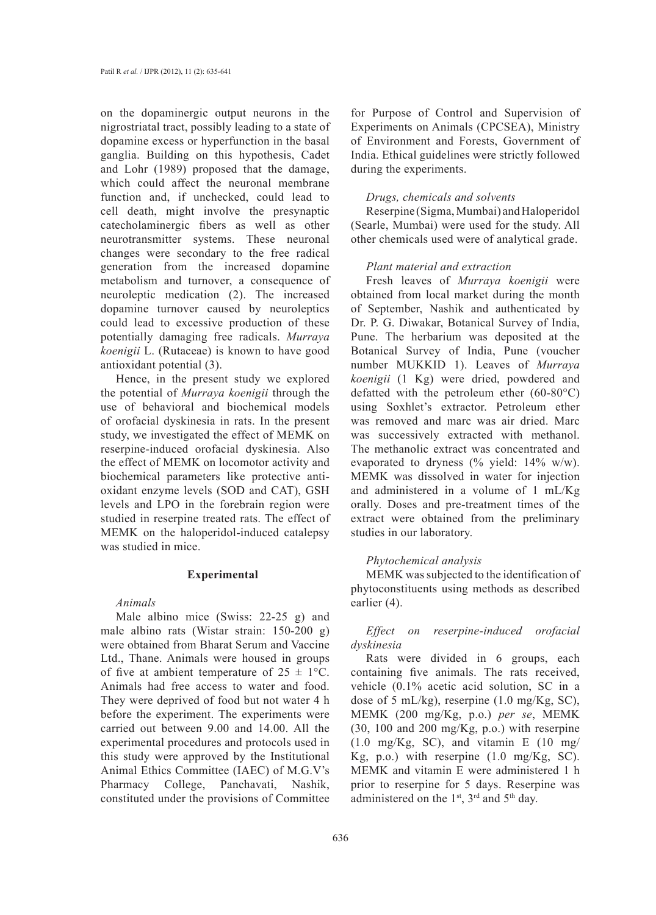on the dopaminergic output neurons in the nigrostriatal tract, possibly leading to a state of dopamine excess or hyperfunction in the basal ganglia. Building on this hypothesis, Cadet and Lohr (1989) proposed that the damage, which could affect the neuronal membrane function and, if unchecked, could lead to cell death, might involve the presynaptic catecholaminergic fibers as well as other neurotransmitter systems. These neuronal changes were secondary to the free radical generation from the increased dopamine metabolism and turnover, a consequence of neuroleptic medication (2). The increased dopamine turnover caused by neuroleptics could lead to excessive production of these potentially damaging free radicals. *Murraya koenigii* L. (Rutaceae) is known to have good antioxidant potential (3).

Hence, in the present study we explored the potential of *Murraya koenigii* through the use of behavioral and biochemical models of orofacial dyskinesia in rats. In the present study, we investigated the effect of MEMK on reserpine-induced orofacial dyskinesia. Also the effect of MEMK on locomotor activity and biochemical parameters like protective antioxidant enzyme levels (SOD and CAT), GSH levels and LPO in the forebrain region were studied in reserpine treated rats. The effect of MEMK on the haloperidol-induced catalepsy was studied in mice.

## **Experimental**

### *Animals*

Male albino mice (Swiss: 22-25 g) and male albino rats (Wistar strain: 150-200 g) were obtained from Bharat Serum and Vaccine Ltd., Thane. Animals were housed in groups of five at ambient temperature of  $25 \pm 1$ °C. Animals had free access to water and food. They were deprived of food but not water 4 h before the experiment. The experiments were carried out between 9.00 and 14.00. All the experimental procedures and protocols used in this study were approved by the Institutional Animal Ethics Committee (IAEC) of M.G.V's Pharmacy College, Panchavati, Nashik, constituted under the provisions of Committee

for Purpose of Control and Supervision of Experiments on Animals (CPCSEA), Ministry of Environment and Forests, Government of India. Ethical guidelines were strictly followed during the experiments.

#### *Drugs, chemicals and solvents*

Reserpine (Sigma, Mumbai) and Haloperidol (Searle, Mumbai) were used for the study. All other chemicals used were of analytical grade.

### *Plant material and extraction*

Fresh leaves of *Murraya koenigii* were obtained from local market during the month of September, Nashik and authenticated by Dr. P. G. Diwakar, Botanical Survey of India, Pune. The herbarium was deposited at the Botanical Survey of India, Pune (voucher number MUKKID 1). Leaves of *Murraya koenigii* (1 Kg) were dried, powdered and defatted with the petroleum ether (60-80°C) using Soxhlet's extractor. Petroleum ether was removed and marc was air dried. Marc was successively extracted with methanol. The methanolic extract was concentrated and evaporated to dryness (% yield: 14% w/w). MEMK was dissolved in water for injection and administered in a volume of 1 mL/Kg orally. Doses and pre-treatment times of the extract were obtained from the preliminary studies in our laboratory.

### *Phytochemical analysis*

MEMK was subjected to the identification of phytoconstituents using methods as described earlier (4).

*Effect on reserpine-induced orofacial dyskinesia*

Rats were divided in 6 groups, each containing five animals. The rats received, vehicle (0.1% acetic acid solution, SC in a dose of 5 mL/kg), reserpine (1.0 mg/Kg, SC), MEMK (200 mg/Kg, p.o.) *per se*, MEMK (30, 100 and 200 mg/Kg, p.o.) with reserpine  $(1.0 \text{ mg/Kg}, \text{SC})$ , and vitamin E  $(10 \text{ mg/m})$ Kg, p.o.) with reserpine  $(1.0 \text{ mg/Kg}, \text{SC})$ . MEMK and vitamin E were administered 1 h prior to reserpine for 5 days. Reserpine was administered on the 1<sup>st</sup>, 3<sup>rd</sup> and 5<sup>th</sup> day.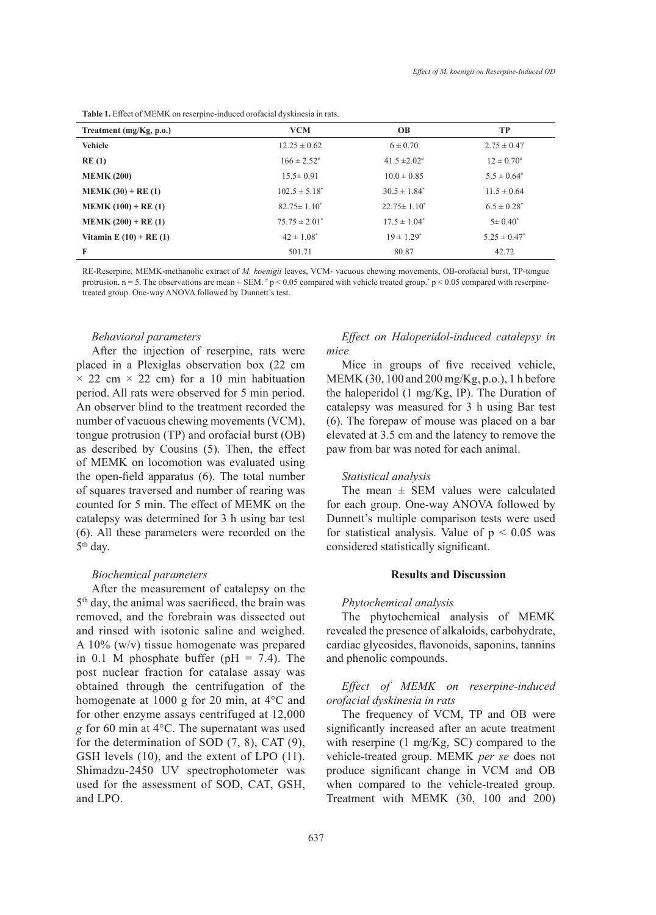|  |  | Table 1. Effect of MEMK on reserpine-induced or of acial dyskinesia in rats. |
|--|--|------------------------------------------------------------------------------|
|--|--|------------------------------------------------------------------------------|

| Treatment $(mg/Kg, p.o.)$   | <b>VCM</b>          | <b>OB</b>                    | TP                 |
|-----------------------------|---------------------|------------------------------|--------------------|
| <b>Vehicle</b>              | $12.25 \pm 0.62$    | $6 \pm 0.70$                 | $2.75 \pm 0.47$    |
| RE(1)                       | $166 \pm 2.52^{\#}$ | $41.5 \pm 2.02$ <sup>#</sup> | $12 \pm 0.70^{\#}$ |
| <b>MEMK (200)</b>           | $15.5 \pm 0.91$     | $10.0 \pm 0.85$              | $5.5 \pm 0.64$ #   |
| $MEMK (30) + RE (1)$        | $102.5 \pm 5.18^*$  | $30.5 \pm 1.84^*$            | $11.5 \pm 0.64$    |
| $MEMK (100) + RE (1)$       | $82.75 \pm 1.10^*$  | $22.75 \pm 1.10^*$           | $6.5 \pm 0.28^*$   |
| $MEMK (200) + RE (1)$       | $75.75 \pm 2.01^*$  | $17.5 \pm 1.04^*$            | $5 \pm 0.40^*$     |
| Vitamin E $(10)$ + RE $(1)$ | $42 \pm 1.08^*$     | $19 \pm 1.29^*$              | $5.25 \pm 0.47^*$  |
| F                           | 501.71              | 80.87                        | 42.72              |

RE-Reserpine, MEMK-methanolic extract of *M. koenigii* leaves, VCM- vacuous chewing movements, OB-orofacial burst, TP-tongue protrusion.  $n = 5$ . The observations are mean  $\pm$  SEM.  $\neq$  p < 0.05 compared with vehicle treated group.<sup>\*</sup> p < 0.05 compared with reserpinetreated group. One-way ANOVA followed by Dunnett's test.

#### *Behavioral parameters*

After the injection of reserpine, rats were placed in a Plexiglas observation box (22 cm  $\times$  22 cm  $\times$  22 cm) for a 10 min habituation period. All rats were observed for 5 min period. An observer blind to the treatment recorded the number of vacuous chewing movements (VCM), tongue protrusion (TP) and orofacial burst (OB) as described by Cousins (5). Then, the effect of MEMK on locomotion was evaluated using the open-field apparatus (6). The total number of squares traversed and number of rearing was counted for 5 min. The effect of MEMK on the catalepsy was determined for 3 h using bar test (6). All these parameters were recorded on the 5th day.

### *Biochemical parameters*

After the measurement of catalepsy on the 5th day, the animal was sacrificed, the brain was removed, and the forebrain was dissected out and rinsed with isotonic saline and weighed. A 10% (w/v) tissue homogenate was prepared in 0.1 M phosphate buffer ( $pH = 7.4$ ). The post nuclear fraction for catalase assay was obtained through the centrifugation of the homogenate at 1000 g for 20 min, at 4°C and for other enzyme assays centrifuged at 12,000 *g* for 60 min at 4°C. The supernatant was used for the determination of SOD (7, 8), CAT (9), GSH levels (10), and the extent of LPO (11). Shimadzu-2450 UV spectrophotometer was used for the assessment of SOD, CAT, GSH, and LPO.

# *Effect on Haloperidol-induced catalepsy in mice*

Mice in groups of five received vehicle, MEMK (30, 100 and 200 mg/Kg, p.o.), 1 h before the haloperidol (1 mg/Kg, IP). The Duration of catalepsy was measured for 3 h using Bar test (6). The forepaw of mouse was placed on a bar elevated at 3.5 cm and the latency to remove the paw from bar was noted for each animal.

### *Statistical analysis*

The mean  $\pm$  SEM values were calculated for each group. One-way ANOVA followed by Dunnett's multiple comparison tests were used for statistical analysis. Value of  $p < 0.05$  was considered statistically significant.

# **Results and Discussion**

### *Phytochemical analysis*

The phytochemical analysis of MEMK revealed the presence of alkaloids, carbohydrate, cardiac glycosides, flavonoids, saponins, tannins and phenolic compounds.

# *Effect of MEMK on reserpine-induced orofacial dyskinesia in rats*

The frequency of VCM, TP and OB were significantly increased after an acute treatment with reserpine (1 mg/Kg, SC) compared to the vehicle-treated group. MEMK *per se* does not produce significant change in VCM and OB when compared to the vehicle-treated group. Treatment with MEMK (30, 100 and 200)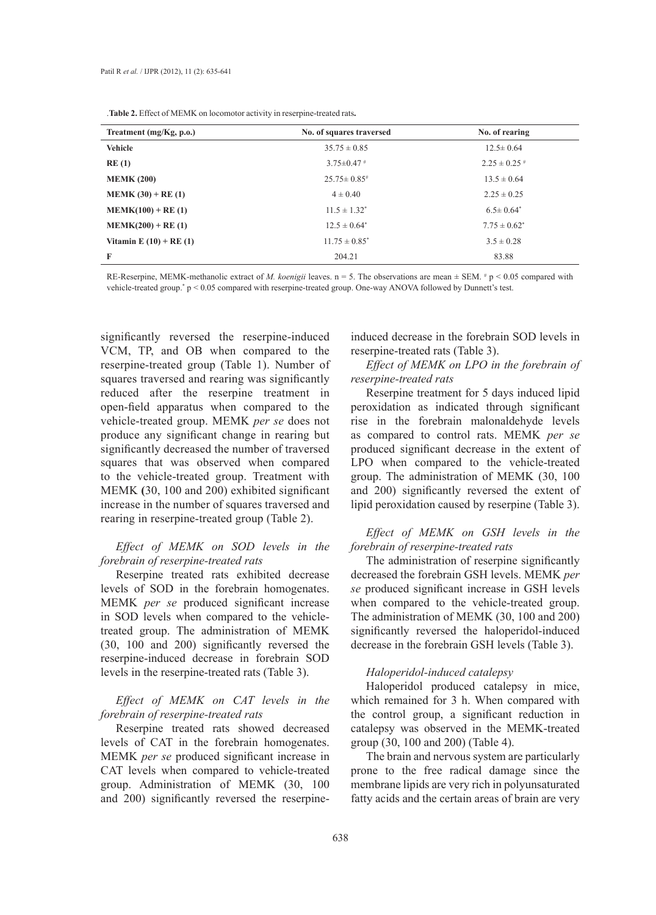.**Table 2.** Effect of MEMK on locomotor activity in reserpine-treated rats**.**

| Treatment $(mg/Kg, p.o.)$   | No. of squares traversed | No. of rearing    |  |  |
|-----------------------------|--------------------------|-------------------|--|--|
| <b>Vehicle</b>              | $35.75 \pm 0.85$         | $12.5 \pm 0.64$   |  |  |
| RE(1)                       | $3.75 \pm 0.47$ #        | $2.25 \pm 0.25$ # |  |  |
| <b>MEMK (200)</b>           | $25.75 \pm 0.85$         | $13.5 \pm 0.64$   |  |  |
| $MEMK (30) + RE (1)$        | $4 \pm 0.40$             | $2.25 \pm 0.25$   |  |  |
| $MEMK(100) + RE(1)$         | $11.5 \pm 1.32^*$        | $6.5 \pm 0.64^*$  |  |  |
| $MEMK(200) + RE(1)$         | $12.5 \pm 0.64^*$        | $7.75 \pm 0.62^*$ |  |  |
| Vitamin E $(10)$ + RE $(1)$ | $11.75 \pm 0.85^*$       | $3.5 \pm 0.28$    |  |  |
| F                           | 204.21                   | 83.88             |  |  |

RE-Reserpine, MEMK-methanolic extract of *M. koenigii* leaves.  $n = 5$ . The observations are mean  $\pm$  SEM.  $\#p \leq 0.05$  compared with vehicle-treated group.<sup>\*</sup>  $p < 0.05$  compared with reserpine-treated group. One-way ANOVA followed by Dunnett's test.

significantly reversed the reserpine-induced VCM, TP, and OB when compared to the reserpine-treated group (Table 1). Number of squares traversed and rearing was significantly reduced after the reserpine treatment in open-field apparatus when compared to the vehicle-treated group. MEMK *per se* does not produce any significant change in rearing but significantly decreased the number of traversed squares that was observed when compared to the vehicle-treated group. Treatment with MEMK **(**30, 100 and 200) exhibited significant increase in the number of squares traversed and rearing in reserpine-treated group (Table 2).

# *Effect of MEMK on SOD levels in the forebrain of reserpine-treated rats*

Reserpine treated rats exhibited decrease levels of SOD in the forebrain homogenates. MEMK *per se* produced significant increase in SOD levels when compared to the vehicletreated group. The administration of MEMK (30, 100 and 200) significantly reversed the reserpine-induced decrease in forebrain SOD levels in the reserpine-treated rats (Table 3).

# *Effect of MEMK on CAT levels in the forebrain of reserpine-treated rats*

Reserpine treated rats showed decreased levels of CAT in the forebrain homogenates. MEMK *per se* produced significant increase in CAT levels when compared to vehicle-treated group. Administration of MEMK (30, 100 and 200) significantly reversed the reserpineinduced decrease in the forebrain SOD levels in reserpine-treated rats (Table 3).

*Effect of MEMK on LPO in the forebrain of reserpine-treated rats*

Reserpine treatment for 5 days induced lipid peroxidation as indicated through significant rise in the forebrain malonaldehyde levels as compared to control rats. MEMK *per se* produced significant decrease in the extent of LPO when compared to the vehicle-treated group. The administration of MEMK (30, 100 and 200) significantly reversed the extent of lipid peroxidation caused by reserpine (Table 3).

# *Effect of MEMK on GSH levels in the forebrain of reserpine-treated rats*

The administration of reserpine significantly decreased the forebrain GSH levels. MEMK *per se* produced significant increase in GSH levels when compared to the vehicle-treated group. The administration of MEMK (30, 100 and 200) significantly reversed the haloperidol-induced decrease in the forebrain GSH levels (Table 3).

# *Haloperidol-induced catalepsy*

Haloperidol produced catalepsy in mice, which remained for 3 h. When compared with the control group, a significant reduction in catalepsy was observed in the MEMK-treated group (30, 100 and 200) (Table 4).

The brain and nervous system are particularly prone to the free radical damage since the membrane lipids are very rich in polyunsaturated fatty acids and the certain areas of brain are very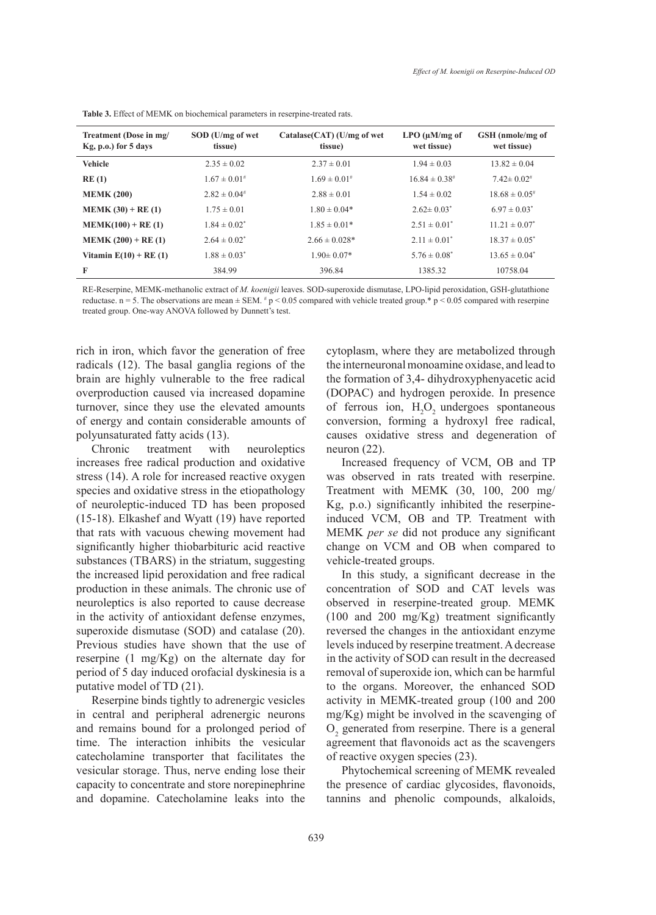| Treatment (Dose in mg/<br>$Kg, p.o.$ ) for 5 days | SOD (U/mg of wet<br>tissue) | Catalase(CAT) (U/mg of wet<br>tissue) | $LPO$ ( $\mu$ M/mg of<br>wet tissue) | GSH (nmole/mg of<br>wet tissue) |  |
|---------------------------------------------------|-----------------------------|---------------------------------------|--------------------------------------|---------------------------------|--|
| <b>Vehicle</b>                                    | $2.35 \pm 0.02$             | $2.37 \pm 0.01$                       | $1.94 \pm 0.03$                      | $13.82 \pm 0.04$                |  |
| RE(1)                                             | $1.67 \pm 0.01^{\#}$        | $1.69 \pm 0.01^{\#}$                  | $16.84 \pm 0.38$ <sup>#</sup>        | $7.42 \pm 0.02$ #               |  |
| <b>MEMK (200)</b>                                 | $2.82 \pm 0.04$ #           | $2.88 \pm 0.01$                       | $1.54 \pm 0.02$                      | $18.68 \pm 0.05$ <sup>#</sup>   |  |
| $MEMK (30) + RE (1)$                              | $1.75 \pm 0.01$             | $1.80 \pm 0.04*$                      | $2.62 \pm 0.03^*$                    | $6.97 \pm 0.03^*$               |  |
| $MEMK(100) + RE(1)$                               | $1.84 \pm 0.02^*$           | $1.85 \pm 0.01*$                      | $2.51 \pm 0.01^*$                    | $11.21 \pm 0.07^*$              |  |
| $MEMK (200) + RE (1)$                             | $2.64 \pm 0.02^*$           | $2.66 \pm 0.028*$                     | $2.11 \pm 0.01^*$                    | $18.37 \pm 0.05^*$              |  |
| Vitamin $E(10) + RE(1)$                           | $1.88 \pm 0.03^*$           | $1.90 \pm 0.07*$                      | $5.76 \pm 0.08^*$                    | $13.65 \pm 0.04^*$              |  |
| F                                                 | 384.99                      | 396.84                                | 1385.32                              | 10758.04                        |  |

**Table 3.** Effect of MEMK on biochemical parameters in reserpine-treated rats.

RE-Reserpine, MEMK-methanolic extract of *M. koenigii* leaves. SOD-superoxide dismutase, LPO-lipid peroxidation, GSH-glutathione reductase. n = 5. The observations are mean  $\pm$  SEM.  $*$  p < 0.05 compared with vehicle treated group.\* p < 0.05 compared with reserpine treated group. One-way ANOVA followed by Dunnett's test.

rich in iron, which favor the generation of free radicals (12). The basal ganglia regions of the brain are highly vulnerable to the free radical overproduction caused via increased dopamine turnover, since they use the elevated amounts of energy and contain considerable amounts of polyunsaturated fatty acids (13).

Chronic treatment with neuroleptics increases free radical production and oxidative stress (14). A role for increased reactive oxygen species and oxidative stress in the etiopathology of neuroleptic-induced TD has been proposed (15-18). Elkashef and Wyatt (19) have reported that rats with vacuous chewing movement had significantly higher thiobarbituric acid reactive substances (TBARS) in the striatum, suggesting the increased lipid peroxidation and free radical production in these animals. The chronic use of neuroleptics is also reported to cause decrease in the activity of antioxidant defense enzymes, superoxide dismutase (SOD) and catalase (20). Previous studies have shown that the use of reserpine (1 mg/Kg) on the alternate day for period of 5 day induced orofacial dyskinesia is a putative model of TD (21).

Reserpine binds tightly to adrenergic vesicles in central and peripheral adrenergic neurons and remains bound for a prolonged period of time. The interaction inhibits the vesicular catecholamine transporter that facilitates the vesicular storage. Thus, nerve ending lose their capacity to concentrate and store norepinephrine and dopamine. Catecholamine leaks into the cytoplasm, where they are metabolized through the interneuronal monoamine oxidase, and lead to the formation of 3,4- dihydroxyphenyacetic acid (DOPAC) and hydrogen peroxide. In presence of ferrous ion,  $H_2O_2$  undergoes spontaneous conversion, forming a hydroxyl free radical, causes oxidative stress and degeneration of neuron (22).

Increased frequency of VCM, OB and TP was observed in rats treated with reserpine. Treatment with MEMK (30, 100, 200 mg/ Kg, p.o.) significantly inhibited the reserpineinduced VCM, OB and TP. Treatment with MEMK *per se* did not produce any significant change on VCM and OB when compared to vehicle-treated groups.

In this study, a significant decrease in the concentration of SOD and CAT levels was observed in reserpine-treated group. MEMK (100 and 200 mg/Kg) treatment significantly reversed the changes in the antioxidant enzyme levels induced by reserpine treatment. A decrease in the activity of SOD can result in the decreased removal of superoxide ion, which can be harmful to the organs. Moreover, the enhanced SOD activity in MEMK*-*treated group (100 and 200 mg/Kg) might be involved in the scavenging of  $O<sub>2</sub>$  generated from reserpine. There is a general agreement that flavonoids act as the scavengers of reactive oxygen species (23).

Phytochemical screening of MEMK revealed the presence of cardiac glycosides, flavonoids, tannins and phenolic compounds, alkaloids,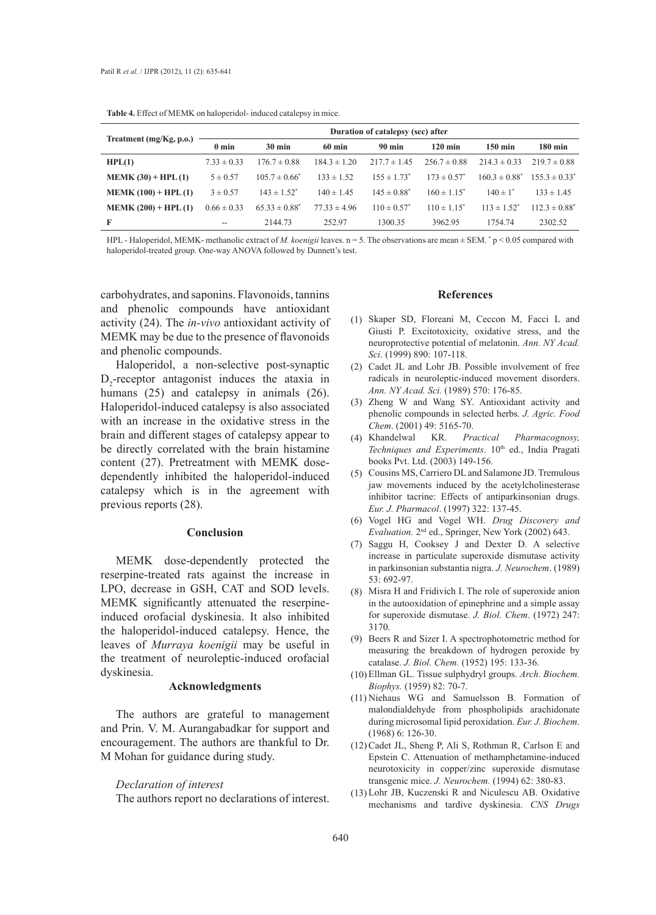| <b>Table 4.</b> Effect of MENIN on national model model catalensy in three. |                                   |                    |                  |                             |                             |                    |                    |
|-----------------------------------------------------------------------------|-----------------------------------|--------------------|------------------|-----------------------------|-----------------------------|--------------------|--------------------|
| Treatment (mg/Kg, p.o.)                                                     | Duration of catalepsy (sec) after |                    |                  |                             |                             |                    |                    |
|                                                                             | $0 \text{ min}$                   | $30 \text{ min}$   | $60 \text{ min}$ | <b>90 min</b>               | $120 \text{ min}$           | 150 min            | $180 \text{ min}$  |
| HPL(1)                                                                      | $7.33 \pm 0.33$                   | $176.7 \pm 0.88$   | $184.3 \pm 1.20$ | $217.7 \pm 1.45$            | $256.7 \pm 0.88$            | $214.3 \pm 0.33$   | $219.7 \pm 0.88$   |
| $MEMK (30) + HPL (1)$                                                       | $5 \pm 0.57$                      | $105.7 \pm 0.66^*$ | $133 \pm 1.52$   | $155 \pm 1.73$ <sup>*</sup> | $173 \pm 0.57^*$            | $160.3 \pm 0.88^*$ | $155.3 \pm 0.33^*$ |
| $MEMK (100) + HPL (1)$                                                      | $3 \pm 0.57$                      | $143 \pm 1.52^*$   | $140 \pm 1.45$   | $145 \pm 0.88^*$            | $160 \pm 1.15^*$            | $140 \pm 1^*$      | $133 \pm 1.45$     |
| $MEMK (200) + HPL (1)$                                                      | $0.66 \pm 0.33$                   | $65.33 \pm 0.88^*$ | $77.33 \pm 4.96$ | $110 \pm 0.57^*$            | $110 \pm 1.15$ <sup>*</sup> | $113 \pm 1.52^*$   | $112.3 \pm 0.88^*$ |
| F                                                                           | $- -$                             | 2144.73            | 252.97           | 1300.35                     | 3962.95                     | 1754.74            | 2302.52            |

**Table 4. Effect of MEMBER on haloperidole in microsoft catalepsy induced catalogues** 

HPL - Haloperidol, MEMK- methanolic extract of *M. koenigii* leaves.  $n = 5$ . The observations are mean  $\pm$  SEM.  $\degree$  p < 0.05 compared with haloperidol-treated group. One-way ANOVA followed by Dunnett's test.

carbohydrates, and saponins. Flavonoids, tannins and phenolic compounds have antioxidant activity (24). The *in-vivo* antioxidant activity of MEMK may be due to the presence of flavonoids and phenolic compounds.

Haloperidol, a non-selective post-synaptic  $D_2$ -receptor antagonist induces the ataxia in humans (25) and catalepsy in animals (26). Haloperidol-induced catalepsy is also associated with an increase in the oxidative stress in the brain and different stages of catalepsy appear to be directly correlated with the brain histamine content (27). Pretreatment with MEMK dosedependently inhibited the haloperidol-induced catalepsy which is in the agreement with previous reports (28).

### **Conclusion**

MEMK dose-dependently protected the reserpine-treated rats against the increase in LPO, decrease in GSH, CAT and SOD levels. MEMK significantly attenuated the reserpineinduced orofacial dyskinesia. It also inhibited the haloperidol-induced catalepsy. Hence, the leaves of *Murraya koenigii* may be useful in the treatment of neuroleptic-induced orofacial dyskinesia.

### **Acknowledgments**

The authors are grateful to management and Prin. V. M. Aurangabadkar for support and encouragement. The authors are thankful to Dr. M Mohan for guidance during study.

#### *Declaration of interest*

The authors report no declarations of interest.

#### **References**

- (1) Skaper SD, Floreani M, Ceccon M, Facci L and Giusti P. Excitotoxicity, oxidative stress, and the neuroprotective potential of melatonin. *Ann. NY Acad. Sci*. (1999) 890: 107-118.
- (2) Cadet JL and Lohr JB. Possible involvement of free radicals in neuroleptic-induced movement disorders. *Ann. NY Acad. Sci.* (1989) 570: 176-85.
- Zheng W and Wang SY. Antioxidant activity and (3) phenolic compounds in selected herbs*. J. Agric. Food Chem*. (2001) 49: 5165-70.
- Khandelwal KR. *Practical Pharmacognosy,*  (4) Techniques and Experiments. 10<sup>th</sup> ed., India Pragati books Pvt. Ltd. (2003) 149-156.
- Cousins MS, Carriero DL and Salamone JD. Tremulous (5) jaw movements induced by the acetylcholinesterase inhibitor tacrine: Effects of antiparkinsonian drugs. *Eur. J. Pharmacol*. (1997) 322: 137-45.
- Vogel HG and Vogel WH. *Drug Discovery and*  (6) *Evaluation.* 2nd ed., Springer, New York (2002) 643.
- (7) Saggu H, Cooksey J and Dexter D. A selective increase in particulate superoxide dismutase activity in parkinsonian substantia nigra. *J. Neurochem*. (1989) 53: 692-97.
- $(8)$  Misra H and Fridivich I. The role of superoxide anion in the autooxidation of epinephrine and a simple assay for superoxide dismutase. *J. Biol. Chem*. (1972) 247: 3170.
- (9) Beers R and Sizer I. A spectrophotometric method for measuring the breakdown of hydrogen peroxide by catalase. *J. Biol. Chem.* (1952) 195: 133-36.
- Ellman GL. Tissue sulphydryl groups. *Arch. Biochem.*  (10) *Biophys.* (1959) 82: 70-7.
- $(11)$  Niehaus WG and Samuelsson B. Formation of malondialdehyde from phospholipids arachidonate during microsomal lipid peroxidation. *Eur. J. Biochem*. (1968) 6: 126-30.
- (12) Cadet JL, Sheng P, Ali S, Rothman R, Carlson E and Epstein C. Attenuation of methamphetamine-induced neurotoxicity in copper/zinc superoxide dismutase transgenic mice. *J. Neurochem.* (1994) 62: 380-83.
- (13) Lohr JB, Kuczenski R and Niculescu AB. Oxidative mechanisms and tardive dyskinesia. *CNS Drugs*